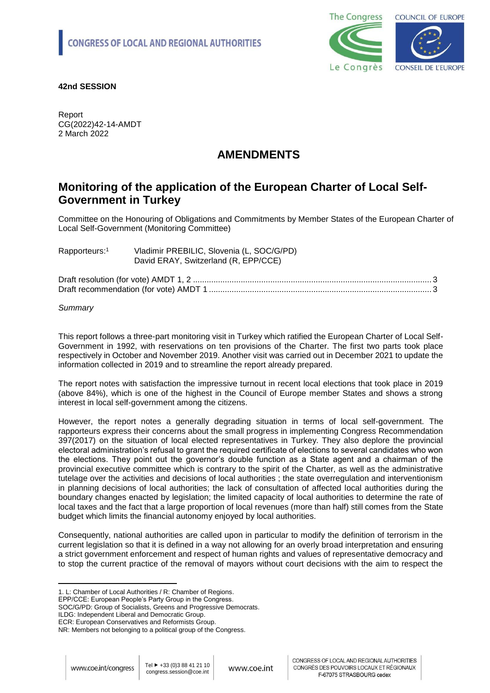

## **42nd SESSION**

Report CG(2022)42-14-AMDT 2 March 2022

# **AMENDMENTS**

# **Monitoring of the application of the European Charter of Local Self-Government in Turkey**

Committee on the Honouring of Obligations and Commitments by Member States of the European Charter of Local Self-Government (Monitoring Committee)

| Rapporteurs: <sup>1</sup> | Vladimir PREBILIC, Slovenia (L, SOC/G/PD)<br>David ERAY, Switzerland (R, EPP/CCE) |
|---------------------------|-----------------------------------------------------------------------------------|
|                           |                                                                                   |

Draft resolution (for vote) AMDT 1, 2 ......................................................................................................... 3 Draft recommendation (for vote) AMDT 1 [..................................................................................................](#page-2-0) 3

## *Summary*

This report follows a three-part monitoring visit in Turkey which ratified the European Charter of Local Self-Government in 1992, with reservations on ten provisions of the Charter. The first two parts took place respectively in October and November 2019. Another visit was carried out in December 2021 to update the information collected in 2019 and to streamline the report already prepared.

The report notes with satisfaction the impressive turnout in recent local elections that took place in 2019 (above 84%), which is one of the highest in the Council of Europe member States and shows a strong interest in local self-government among the citizens.

However, the report notes a generally degrading situation in terms of local self-government. The rapporteurs express their concerns about the small progress in implementing Congress Recommendation 397(2017) on the situation of local elected representatives in Turkey. They also deplore the provincial electoral administration's refusal to grant the required certificate of elections to several candidates who won the elections. They point out the governor's double function as a State agent and a chairman of the provincial executive committee which is contrary to the spirit of the Charter, as well as the administrative tutelage over the activities and decisions of local authorities ; the state overregulation and interventionism in planning decisions of local authorities; the lack of consultation of affected local authorities during the boundary changes enacted by legislation; the limited capacity of local authorities to determine the rate of local taxes and the fact that a large proportion of local revenues (more than half) still comes from the State budget which limits the financial autonomy enjoyed by local authorities.

Consequently, national authorities are called upon in particular to modify the definition of terrorism in the current legislation so that it is defined in a way not allowing for an overly broad interpretation and ensuring a strict government enforcement and respect of human rights and values of representative democracy and to stop the current practice of the removal of mayors without court decisions with the aim to respect the

ILDG: Independent Liberal and Democratic Group.

 $\overline{a}$ 

<sup>1.</sup> L: Chamber of Local Authorities / R: Chamber of Regions.

EPP/CCE: European People's Party Group in the Congress.

SOC/G/PD: Group of Socialists, Greens and Progressive Democrats.

ECR: European Conservatives and Reformists Group.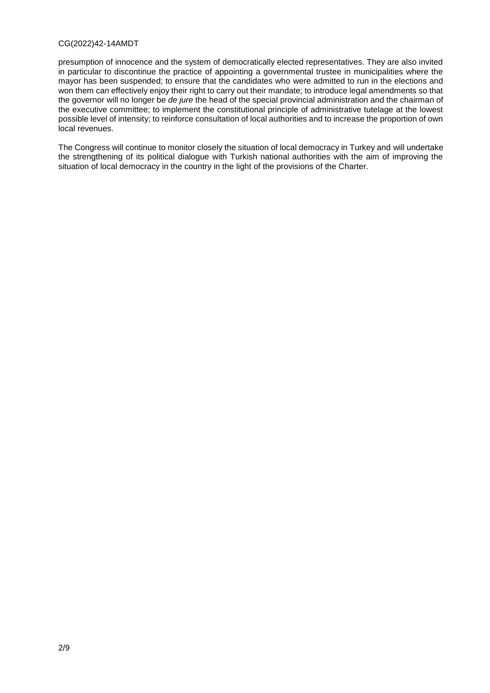### CG(2022)42-14AMDT

presumption of innocence and the system of democratically elected representatives. They are also invited in particular to discontinue the practice of appointing a governmental trustee in municipalities where the mayor has been suspended; to ensure that the candidates who were admitted to run in the elections and won them can effectively enjoy their right to carry out their mandate; to introduce legal amendments so that the governor will no longer be *de jure* the head of the special provincial administration and the chairman of the executive committee; to implement the constitutional principle of administrative tutelage at the lowest possible level of intensity; to reinforce consultation of local authorities and to increase the proportion of own local revenues.

The Congress will continue to monitor closely the situation of local democracy in Turkey and will undertake the strengthening of its political dialogue with Turkish national authorities with the aim of improving the situation of local democracy in the country in the light of the provisions of the Charter.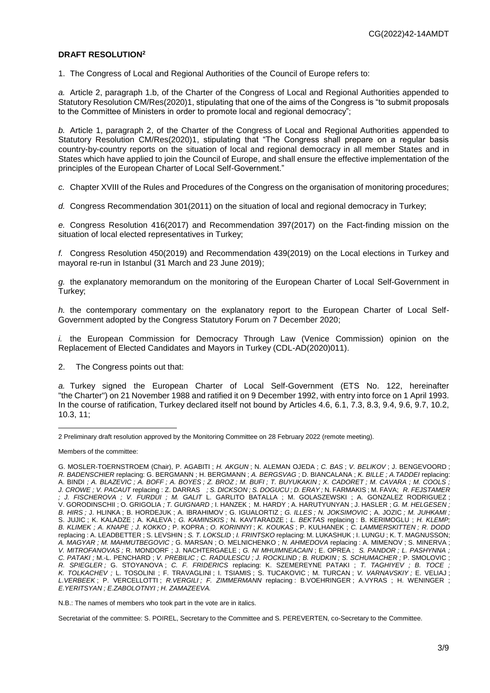## <span id="page-2-0"></span>**DRAFT RESOLUTION<sup>2</sup>**

1. The Congress of Local and Regional Authorities of the Council of Europe refers to:

*a.* Article 2, paragraph 1.b, of the Charter of the Congress of Local and Regional Authorities appended to Statutory Resolution CM/Res(2020)1, stipulating that one of the aims of the Congress is "to submit proposals to the Committee of Ministers in order to promote local and regional democracy";

*b.* Article 1, paragraph 2, of the Charter of the Congress of Local and Regional Authorities appended to Statutory Resolution CM/Res(2020)1, stipulating that "The Congress shall prepare on a regular basis country-by-country reports on the situation of local and regional democracy in all member States and in States which have applied to join the Council of Europe, and shall ensure the effective implementation of the principles of the European Charter of Local Self-Government."

*c.* Chapter XVIII of the Rules and Procedures of the Congress on the organisation of monitoring procedures;

*d.* Congress Recommendation 301(2011) on the situation of local and regional democracy in Turkey;

*e.* Congress Resolution 416(2017) and Recommendation 397(2017) on the Fact-finding mission on the situation of local elected representatives in Turkey;

*f.* Congress Resolution 450(2019) and Recommendation 439(2019) on the Local elections in Turkey and mayoral re-run in Istanbul (31 March and 23 June 2019);

*g.* the explanatory memorandum on the monitoring of the European Charter of Local Self-Government in Turkey;

*h.* the contemporary commentary on the explanatory report to the European Charter of Local Self-Government adopted by the Congress Statutory Forum on 7 December 2020;

*i.* the European Commission for Democracy Through Law (Venice Commission) opinion on the Replacement of Elected Candidates and Mayors in Turkey (CDL-AD(2020)011).

2. The Congress points out that:

*a.* Turkey signed the European Charter of Local Self-Government (ETS No. 122, hereinafter "the Charter") on 21 November 1988 and ratified it on 9 December 1992, with entry into force on 1 April 1993. In the course of ratification, Turkey declared itself not bound by Articles 4.6, 6.1, 7.3, 8.3, 9.4, 9.6, 9.7, 10.2, 10.3, 11;

N.B.: The names of members who took part in the vote are in italics.

Secretariat of the committee: S. POIREL, Secretary to the Committee and S. PEREVERTEN, co-Secretary to the Committee.

 $\overline{a}$ 2 Preliminary draft resolution approved by the Monitoring Committee on 28 February 2022 (remote meeting).

Members of the committee:

G. MOSLER-TOERNSTROEM (Chair), P. AGABITI ; *H. AKGUN* ; N. ALEMAN OJEDA ; *C. BAS* ; *V. BELIKOV* ; J. BENGEVOORD ; *R. BADENSCHIER* replacing: G. BERGMANN ; H. BERGMANN ; *A. BERGSVAG* ; D. BIANCALANA ; *K. BILLE ; A.TADDEI* replacing: A. BINDI *; A. BLAZEVIC ; A. BOFF ; A. BOYES ; Z. BROZ ; M. BUFI ; T. BUYUKAKIN ; X. CADORET ; M. CAVARA ; M. COOLS ; J. CROWE ; V. PACAUT* replacing : Z. DARRAS *; S. DICKSON ; S. DOGUCU ; D. ERAY ;* N. FARMAKIS ; M. FAVA; *R. FEJSTAMER ; J. FISCHEROVA ; V. FURDUI ; M. GALIT* L. GARLITO BATALLA ; M. GOLASZEWSKI ; A. GONZALEZ RODRIGUEZ ; V. GORODINSCHII ; O. GRIGOLIA *; T. GUIGNARD ;* I. HANZEK ; M. HARDY ; A. HARUTYUNYAN ; J. HASLER ; *G. M. HELGESEN ; B. HIRS ;* J. HLINKA ; B. HORDEJUK ; A. IBRAHIMOV ; G. IGUALORTIZ ; *G. ILLES ; N. JOKSIMOVIC* ; A. JOZIC *; M. JUHKAMI ;*  S. JUJIC ; K. KALADZE ; A. KALEVA ; *G. KAMINSKIS ;* N. KAVTARADZE ; *L. BEKTAS* replacing : B. KERIMOGLU ; *H. KLEMP; B. KLIMEK ; A. KNAPE ; J. KOKKO ;* P. KOPRA ; *O. KORINNYI* ; *K. KOUKAS* ; P. KULHANEK ; *C. LAMMERSKITTEN ; R. DODD* replacing : A. LEADBETTER ; S. LEVSHIN ; *S. T. LOKSLID* ; *I. FRINTSKO* replacing: M. LUKASHUK ; I. LUNGU ; K. T. MAGNUSSON; *A. MAGYAR ; M. MAHMUTBEGOVIC ;* G. MARSAN ; O. MELNICHENKO ; *N. AHMEDOVA* replacing : A. MIMENOV ; S. MINERVA ; *V. MITROFANOVAS ;* R. MONDORF ; J. NACHTERGAELE ; *G. NI MHUIMNEACAIN* ; E. OPREA ; *S. PANDOR ; L. PASHYNNA ; C. PATAKI ;* M.-L. PENCHARD ; *V. PREBILIC ; C. RADULESCU ; J. ROCKLIND ; B. RUDKIN ; S. SCHUMACHER ;* P. SMOLOVIC ; *R. SPIEGLER ;* G. STOYANOVA ; *C. F. FRIDERICS* replacing: K. SZEMEREYNE PATAKI ; *T. TAGHIYEV ; B. TOCE ; K. TOLKACHEV ;* L. TOSOLINI ; F. TRAVAGLINI ; I. TSIAMIS ; S. TUCAKOVIC ; M. TURCAN ; *V. VARNAVSKIY ;* E. VELIAJ ; *L.VERBEEK* ; P. VERCELLOTTI ; *R.VERGILI ; F. ZIMMERMANN* replacing : B.VOEHRINGER ; A.VYRAS ; H. WENINGER ; *E.YERITSYAN ; E.ZABOLOTNYI ; H. ZAMAZEEVA.*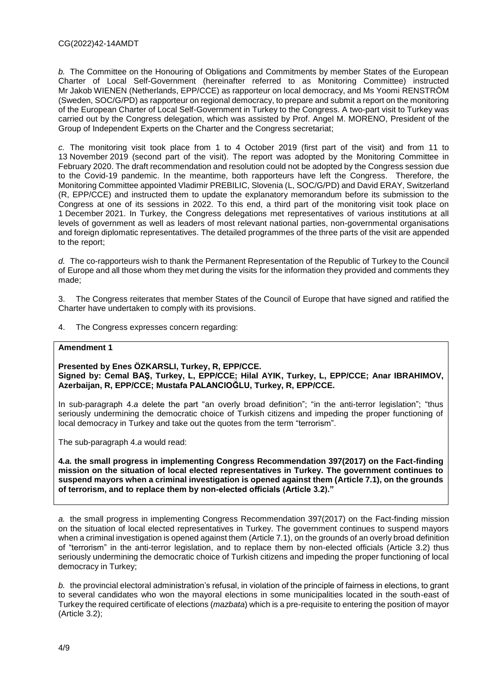*b.* The Committee on the Honouring of Obligations and Commitments by member States of the European Charter of Local Self-Government (hereinafter referred to as Monitoring Committee) instructed Mr Jakob WIENEN (Netherlands, EPP/CCE) as rapporteur on local democracy, and Ms Yoomi RENSTRÖM (Sweden, SOC/G/PD) as rapporteur on regional democracy, to prepare and submit a report on the monitoring of the European Charter of Local Self-Government in Turkey to the Congress. A two-part visit to Turkey was carried out by the Congress delegation, which was assisted by Prof. Angel M. MORENO, President of the Group of Independent Experts on the Charter and the Congress secretariat;

*c.* The monitoring visit took place from 1 to 4 October 2019 (first part of the visit) and from 11 to 13 November 2019 (second part of the visit). The report was adopted by the Monitoring Committee in February 2020. The draft recommendation and resolution could not be adopted by the Congress session due to the Covid-19 pandemic. In the meantime, both rapporteurs have left the Congress. Therefore, the Monitoring Committee appointed Vladimir PREBILIC, Slovenia (L, SOC/G/PD) and David ERAY, Switzerland (R, EPP/CCE) and instructed them to update the explanatory memorandum before its submission to the Congress at one of its sessions in 2022. To this end, a third part of the monitoring visit took place on 1 December 2021. In Turkey, the Congress delegations met representatives of various institutions at all levels of government as well as leaders of most relevant national parties, non-governmental organisations and foreign diplomatic representatives. The detailed programmes of the three parts of the visit are appended to the report;

*d.* The co-rapporteurs wish to thank the Permanent Representation of the Republic of Turkey to the Council of Europe and all those whom they met during the visits for the information they provided and comments they made;

3. The Congress reiterates that member States of the Council of Europe that have signed and ratified the Charter have undertaken to comply with its provisions.

4. The Congress expresses concern regarding:

#### **Amendment 1**

**Presented by Enes ÖZKARSLI, Turkey, R, EPP/CCE. Signed by: Cemal BAŞ, Turkey, L, EPP/CCE; Hilal AYIK, Turkey, L, EPP/CCE; Anar IBRAHIMOV, Azerbaijan, R, EPP/CCE; Mustafa PALANCIOĞLU, Turkey, R, EPP/CCE.** 

In sub-paragraph 4.*a* delete the part "an overly broad definition"; "in the anti-terror legislation"; "thus seriously undermining the democratic choice of Turkish citizens and impeding the proper functioning of local democracy in Turkey and take out the quotes from the term "terrorism".

The sub-paragraph 4.*a* would read:

**4***.a.* **the small progress in implementing Congress Recommendation 397(2017) on the Fact-finding mission on the situation of local elected representatives in Turkey. The government continues to suspend mayors when a criminal investigation is opened against them (Article 7.1), on the grounds of terrorism, and to replace them by non-elected officials (Article 3.2)."**

*a.* the small progress in implementing Congress Recommendation 397(2017) on the Fact-finding mission on the situation of local elected representatives in Turkey. The government continues to suspend mayors when a criminal investigation is opened against them (Article 7.1), on the grounds of an overly broad definition of "terrorism" in the anti-terror legislation, and to replace them by non-elected officials (Article 3.2) thus seriously undermining the democratic choice of Turkish citizens and impeding the proper functioning of local democracy in Turkey;

*b.* the provincial electoral administration's refusal, in violation of the principle of fairness in elections, to grant to several candidates who won the mayoral elections in some municipalities located in the south-east of Turkey the required certificate of elections (*mazbata*) which is a pre-requisite to entering the position of mayor (Article 3.2);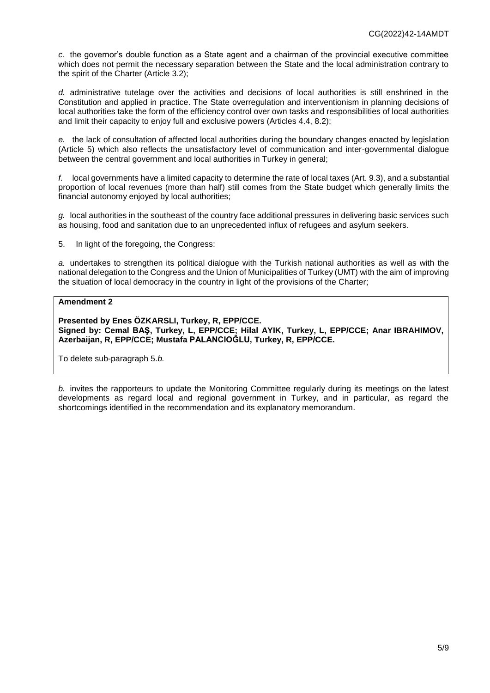*c.* the governor's double function as a State agent and a chairman of the provincial executive committee which does not permit the necessary separation between the State and the local administration contrary to the spirit of the Charter (Article 3.2);

*d.* administrative tutelage over the activities and decisions of local authorities is still enshrined in the Constitution and applied in practice. The State overregulation and interventionism in planning decisions of local authorities take the form of the efficiency control over own tasks and responsibilities of local authorities and limit their capacity to enjoy full and exclusive powers (Articles 4.4, 8.2);

*e.* the lack of consultation of affected local authorities during the boundary changes enacted by legislation (Article 5) which also reflects the unsatisfactory level of communication and inter-governmental dialogue between the central government and local authorities in Turkey in general;

*f.* local governments have a limited capacity to determine the rate of local taxes (Art. 9.3), and a substantial proportion of local revenues (more than half) still comes from the State budget which generally limits the financial autonomy enjoyed by local authorities;

*g.* local authorities in the southeast of the country face additional pressures in delivering basic services such as housing, food and sanitation due to an unprecedented influx of refugees and asylum seekers.

5. In light of the foregoing, the Congress:

*a.* undertakes to strengthen its political dialogue with the Turkish national authorities as well as with the national delegation to the Congress and the Union of Municipalities of Turkey (UMT) with the aim of improving the situation of local democracy in the country in light of the provisions of the Charter;

## **Amendment 2**

**Presented by Enes ÖZKARSLI, Turkey, R, EPP/CCE. Signed by: Cemal BAŞ, Turkey, L, EPP/CCE; Hilal AYIK, Turkey, L, EPP/CCE; Anar IBRAHIMOV, Azerbaijan, R, EPP/CCE; Mustafa PALANCIOĞLU, Turkey, R, EPP/CCE.** 

To delete sub-paragraph 5.*b.*

*b.* invites the rapporteurs to update the Monitoring Committee regularly during its meetings on the latest developments as regard local and regional government in Turkey, and in particular, as regard the shortcomings identified in the recommendation and its explanatory memorandum.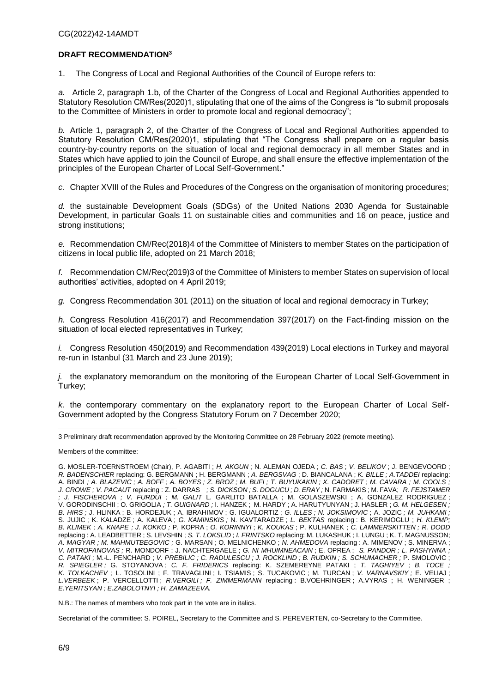## **DRAFT RECOMMENDATION<sup>3</sup>**

1. The Congress of Local and Regional Authorities of the Council of Europe refers to:

*a.* Article 2, paragraph 1.b, of the Charter of the Congress of Local and Regional Authorities appended to Statutory Resolution CM/Res(2020)1, stipulating that one of the aims of the Congress is "to submit proposals to the Committee of Ministers in order to promote local and regional democracy";

*b.* Article 1, paragraph 2, of the Charter of the Congress of Local and Regional Authorities appended to Statutory Resolution CM/Res(2020)1, stipulating that "The Congress shall prepare on a regular basis country-by-country reports on the situation of local and regional democracy in all member States and in States which have applied to join the Council of Europe, and shall ensure the effective implementation of the principles of the European Charter of Local Self-Government."

*c.* Chapter XVIII of the Rules and Procedures of the Congress on the organisation of monitoring procedures;

*d.* the sustainable Development Goals (SDGs) of the United Nations 2030 Agenda for Sustainable Development, in particular Goals 11 on sustainable cities and communities and 16 on peace, justice and strong institutions;

*e.* Recommendation CM/Rec(2018)4 of the Committee of Ministers to member States on the participation of citizens in local public life, adopted on 21 March 2018;

*f.* Recommendation CM/Rec(2019)3 of the Committee of Ministers to member States on supervision of local authorities' activities, adopted on 4 April 2019;

*g.* Congress Recommendation 301 (2011) on the situation of local and regional democracy in Turkey;

*h.* Congress Resolution 416(2017) and Recommendation 397(2017) on the Fact-finding mission on the situation of local elected representatives in Turkey;

*i.* Congress Resolution 450(2019) and Recommendation 439(2019) Local elections in Turkey and mayoral re-run in Istanbul (31 March and 23 June 2019);

*j.* the explanatory memorandum on the monitoring of the European Charter of Local Self-Government in Turkey;

*k.* the contemporary commentary on the explanatory report to the European Charter of Local Self-Government adopted by the Congress Statutory Forum on 7 December 2020;

 $\overline{a}$ 3 Preliminary draft recommendation approved by the Monitoring Committee on 28 February 2022 (remote meeting).

Members of the committee:

N.B.: The names of members who took part in the vote are in italics.

Secretariat of the committee: S. POIREL, Secretary to the Committee and S. PEREVERTEN, co-Secretary to the Committee.

G. MOSLER-TOERNSTROEM (Chair), P. AGABITI ; *H. AKGUN* ; N. ALEMAN OJEDA ; *C. BAS* ; *V. BELIKOV* ; J. BENGEVOORD ; *R. BADENSCHIER* replacing: G. BERGMANN ; H. BERGMANN ; *A. BERGSVAG* ; D. BIANCALANA ; *K. BILLE ; A.TADDEI* replacing: A. BINDI *; A. BLAZEVIC ; A. BOFF ; A. BOYES ; Z. BROZ ; M. BUFI ; T. BUYUKAKIN ; X. CADORET ; M. CAVARA ; M. COOLS ; J. CROWE ; V. PACAUT* replacing : Z. DARRAS *; S. DICKSON ; S. DOGUCU ; D. ERAY ;* N. FARMAKIS ; M. FAVA; *R. FEJSTAMER ; J. FISCHEROVA ; V. FURDUI ; M. GALIT* L. GARLITO BATALLA ; M. GOLASZEWSKI ; A. GONZALEZ RODRIGUEZ ; V. GORODINSCHII ; O. GRIGOLIA *; T. GUIGNARD ;* I. HANZEK ; M. HARDY ; A. HARUTYUNYAN ; J. HASLER ; *G. M. HELGESEN ; B. HIRS ;* J. HLINKA ; B. HORDEJUK ; A. IBRAHIMOV ; G. IGUALORTIZ ; *G. ILLES ; N. JOKSIMOVIC* ; A. JOZIC *; M. JUHKAMI ;*  S. JUJIC ; K. KALADZE ; A. KALEVA ; *G. KAMINSKIS ;* N. KAVTARADZE ; *L. BEKTAS* replacing : B. KERIMOGLU ; *H. KLEMP; B. KLIMEK ; A. KNAPE ; J. KOKKO ;* P. KOPRA ; *O. KORINNYI* ; *K. KOUKAS* ; P. KULHANEK ; *C. LAMMERSKITTEN ; R. DODD* replacing : A. LEADBETTER ; S. LEVSHIN ; *S. T. LOKSLID* ; *I. FRINTSKO* replacing: M. LUKASHUK ; I. LUNGU ; K. T. MAGNUSSON; *A. MAGYAR ; M. MAHMUTBEGOVIC ;* G. MARSAN ; O. MELNICHENKO ; *N. AHMEDOVA* replacing : A. MIMENOV ; S. MINERVA ; *V. MITROFANOVAS ;* R. MONDORF ; J. NACHTERGAELE ; *G. NI MHUIMNEACAIN* ; E. OPREA ; *S. PANDOR ; L. PASHYNNA ; C. PATAKI ;* M.-L. PENCHARD ; *V. PREBILIC ; C. RADULESCU ; J. ROCKLIND ; B. RUDKIN ; S. SCHUMACHER ;* P. SMOLOVIC ; *R. SPIEGLER ;* G. STOYANOVA ; *C. F. FRIDERICS* replacing: K. SZEMEREYNE PATAKI ; *T. TAGHIYEV ; B. TOCE ; K. TOLKACHEV ;* L. TOSOLINI ; F. TRAVAGLINI ; I. TSIAMIS ; S. TUCAKOVIC ; M. TURCAN ; *V. VARNAVSKIY ;* E. VELIAJ ; *L.VERBEEK* ; P. VERCELLOTTI ; *R.VERGILI ; F. ZIMMERMANN* replacing : B.VOEHRINGER ; A.VYRAS ; H. WENINGER ; *E.YERITSYAN ; E.ZABOLOTNYI ; H. ZAMAZEEVA.*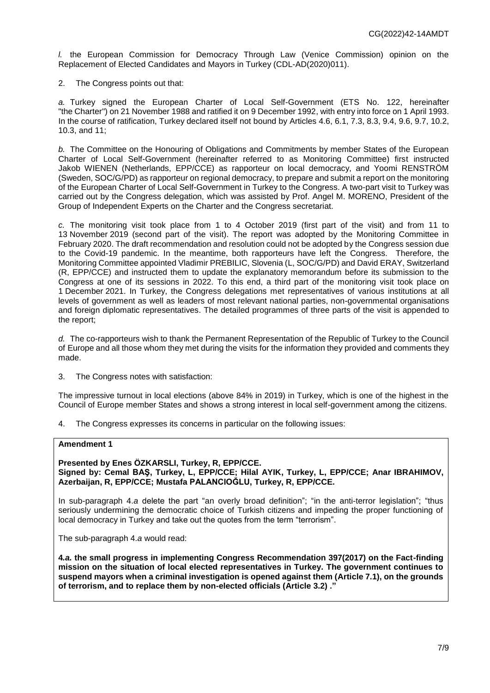*l.* the European Commission for Democracy Through Law (Venice Commission) opinion on the Replacement of Elected Candidates and Mayors in Turkey (CDL-AD(2020)011).

2. The Congress points out that:

*a.* Turkey signed the European Charter of Local Self-Government (ETS No. 122, hereinafter "the Charter") on 21 November 1988 and ratified it on 9 December 1992, with entry into force on 1 April 1993. In the course of ratification, Turkey declared itself not bound by Articles 4.6, 6.1, 7.3, 8.3, 9.4, 9.6, 9.7, 10.2, 10.3, and 11;

*b.* The Committee on the Honouring of Obligations and Commitments by member States of the European Charter of Local Self-Government (hereinafter referred to as Monitoring Committee) first instructed Jakob WIENEN (Netherlands, EPP/CCE) as rapporteur on local democracy, and Yoomi RENSTRÖM (Sweden, SOC/G/PD) as rapporteur on regional democracy, to prepare and submit a report on the monitoring of the European Charter of Local Self-Government in Turkey to the Congress. A two-part visit to Turkey was carried out by the Congress delegation, which was assisted by Prof. Angel M. MORENO, President of the Group of Independent Experts on the Charter and the Congress secretariat.

*c.* The monitoring visit took place from 1 to 4 October 2019 (first part of the visit) and from 11 to 13 November 2019 (second part of the visit). The report was adopted by the Monitoring Committee in February 2020. The draft recommendation and resolution could not be adopted by the Congress session due to the Covid-19 pandemic. In the meantime, both rapporteurs have left the Congress. Therefore, the Monitoring Committee appointed Vladimir PREBILIC, Slovenia (L, SOC/G/PD) and David ERAY, Switzerland (R, EPP/CCE) and instructed them to update the explanatory memorandum before its submission to the Congress at one of its sessions in 2022. To this end, a third part of the monitoring visit took place on 1 December 2021. In Turkey, the Congress delegations met representatives of various institutions at all levels of government as well as leaders of most relevant national parties, non-governmental organisations and foreign diplomatic representatives. The detailed programmes of three parts of the visit is appended to the report;

*d.* The co-rapporteurs wish to thank the Permanent Representation of the Republic of Turkey to the Council of Europe and all those whom they met during the visits for the information they provided and comments they made.

3. The Congress notes with satisfaction:

The impressive turnout in local elections (above 84% in 2019) in Turkey, which is one of the highest in the Council of Europe member States and shows a strong interest in local self-government among the citizens.

4. The Congress expresses its concerns in particular on the following issues:

#### **Amendment 1**

**Presented by Enes ÖZKARSLI, Turkey, R, EPP/CCE. Signed by: Cemal BAŞ, Turkey, L, EPP/CCE; Hilal AYIK, Turkey, L, EPP/CCE; Anar IBRAHIMOV, Azerbaijan, R, EPP/CCE; Mustafa PALANCIOĞLU, Turkey, R, EPP/CCE.** 

In sub-paragraph 4.*a* delete the part "an overly broad definition"; "in the anti-terror legislation"; "thus seriously undermining the democratic choice of Turkish citizens and impeding the proper functioning of local democracy in Turkey and take out the quotes from the term "terrorism".

The sub-paragraph 4.*a* would read:

**4***.a.* **the small progress in implementing Congress Recommendation 397(2017) on the Fact-finding mission on the situation of local elected representatives in Turkey. The government continues to suspend mayors when a criminal investigation is opened against them (Article 7.1), on the grounds of terrorism, and to replace them by non-elected officials (Article 3.2) ."**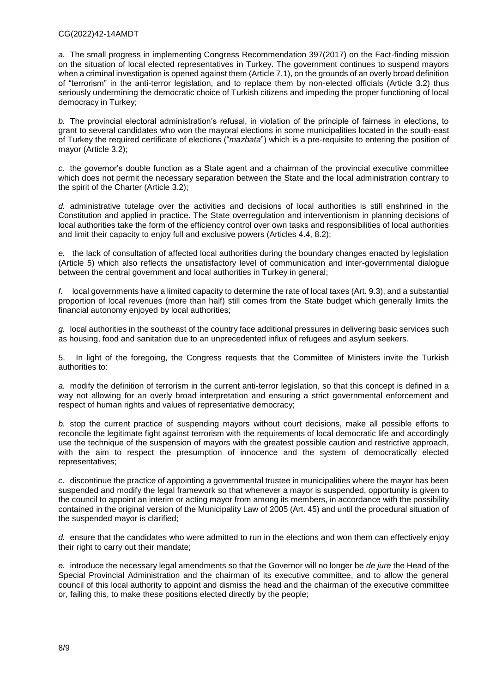#### CG(2022)42-14AMDT

*a.* The small progress in implementing Congress Recommendation 397(2017) on the Fact-finding mission on the situation of local elected representatives in Turkey. The government continues to suspend mayors when a criminal investigation is opened against them (Article 7.1), on the grounds of an overly broad definition of "terrorism" in the anti-terror legislation, and to replace them by non-elected officials (Article 3.2) thus seriously undermining the democratic choice of Turkish citizens and impeding the proper functioning of local democracy in Turkey;

*b.* The provincial electoral administration's refusal, in violation of the principle of fairness in elections, to grant to several candidates who won the mayoral elections in some municipalities located in the south-east of Turkey the required certificate of elections ("*mazbata*") which is a pre-requisite to entering the position of mayor (Article 3.2);

*c.* the governor's double function as a State agent and a chairman of the provincial executive committee which does not permit the necessary separation between the State and the local administration contrary to the spirit of the Charter (Article 3.2);

*d.* administrative tutelage over the activities and decisions of local authorities is still enshrined in the Constitution and applied in practice. The State overregulation and interventionism in planning decisions of local authorities take the form of the efficiency control over own tasks and responsibilities of local authorities and limit their capacity to enjoy full and exclusive powers (Articles 4.4, 8.2);

*e.* the lack of consultation of affected local authorities during the boundary changes enacted by legislation (Article 5) which also reflects the unsatisfactory level of communication and inter-governmental dialogue between the central government and local authorities in Turkey in general;

*f.* local governments have a limited capacity to determine the rate of local taxes (Art. 9.3), and a substantial proportion of local revenues (more than half) still comes from the State budget which generally limits the financial autonomy enjoyed by local authorities;

*g.* local authorities in the southeast of the country face additional pressures in delivering basic services such as housing, food and sanitation due to an unprecedented influx of refugees and asylum seekers.

5. In light of the foregoing, the Congress requests that the Committee of Ministers invite the Turkish authorities to:

*a.* modify the definition of terrorism in the current anti-terror legislation, so that this concept is defined in a way not allowing for an overly broad interpretation and ensuring a strict governmental enforcement and respect of human rights and values of representative democracy;

*b.* stop the current practice of suspending mayors without court decisions, make all possible efforts to reconcile the legitimate fight against terrorism with the requirements of local democratic life and accordingly use the technique of the suspension of mayors with the greatest possible caution and restrictive approach, with the aim to respect the presumption of innocence and the system of democratically elected representatives;

*c.* discontinue the practice of appointing a governmental trustee in municipalities where the mayor has been suspended and modify the legal framework so that whenever a mayor is suspended, opportunity is given to the council to appoint an interim or acting mayor from among its members, in accordance with the possibility contained in the original version of the Municipality Law of 2005 (Art. 45) and until the procedural situation of the suspended mayor is clarified;

*d.* ensure that the candidates who were admitted to run in the elections and won them can effectively enjoy their right to carry out their mandate;

*e.* introduce the necessary legal amendments so that the Governor will no longer be *de jure* the Head of the Special Provincial Administration and the chairman of its executive committee, and to allow the general council of this local authority to appoint and dismiss the head and the chairman of the executive committee or, failing this, to make these positions elected directly by the people;